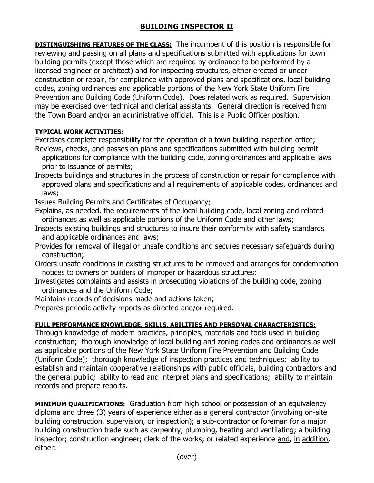## **BUILDING INSPECTOR II**

**DISTINGUISHING FEATURES OF THE CLASS:** The incumbent of this position is responsible for reviewing and passing on all plans and specifications submitted with applications for town building permits (except those which are required by ordinance to be performed by a licensed engineer or architect) and for inspecting structures, either erected or under construction or repair, for compliance with approved plans and specifications, local building codes, zoning ordinances and applicable portions of the New York State Uniform Fire Prevention and Building Code (Uniform Code). Does related work as required. Supervision may be exercised over technical and clerical assistants. General direction is received from the Town Board and/or an administrative official. This is a Public Officer position.

## **TYPICAL WORK ACTIVITIES:**

Exercises complete responsibility for the operation of a town building inspection office; Reviews, checks, and passes on plans and specifications submitted with building permit

- applications for compliance with the building code, zoning ordinances and applicable laws prior to issuance of permits;
- Inspects buildings and structures in the process of construction or repair for compliance with approved plans and specifications and all requirements of applicable codes, ordinances and laws;

Issues Building Permits and Certificates of Occupancy;

Explains, as needed, the requirements of the local building code, local zoning and related ordinances as well as applicable portions of the Uniform Code and other laws;

- Inspects existing buildings and structures to insure their conformity with safety standards and applicable ordinances and laws;
- Provides for removal of illegal or unsafe conditions and secures necessary safeguards during construction;
- Orders unsafe conditions in existing structures to be removed and arranges for condemnation notices to owners or builders of improper or hazardous structures;
- Investigates complaints and assists in prosecuting violations of the building code, zoning ordinances and the Uniform Code;

Maintains records of decisions made and actions taken;

Prepares periodic activity reports as directed and/or required.

## **FULL PERFORMANCE KNOWLEDGE, SKILLS, ABILITIES AND PERSONAL CHARACTERISTICS:**

Through knowledge of modern practices, principles, materials and tools used in building construction; thorough knowledge of local building and zoning codes and ordinances as well as applicable portions of the New York State Uniform Fire Prevention and Building Code (Uniform Code); thorough knowledge of inspection practices and techniques; ability to establish and maintain cooperative relationships with public officials, building contractors and the general public; ability to read and interpret plans and specifications; ability to maintain records and prepare reports.

**MINIMUM QUALIFICATIONS:** Graduation from high school or possession of an equivalency diploma and three (3) years of experience either as a general contractor (involving on-site building construction, supervision, or inspection); a sub-contractor or foreman for a major building construction trade such as carpentry, plumbing, heating and ventilating; a building inspector; construction engineer; clerk of the works; or related experience and, in addition, either: